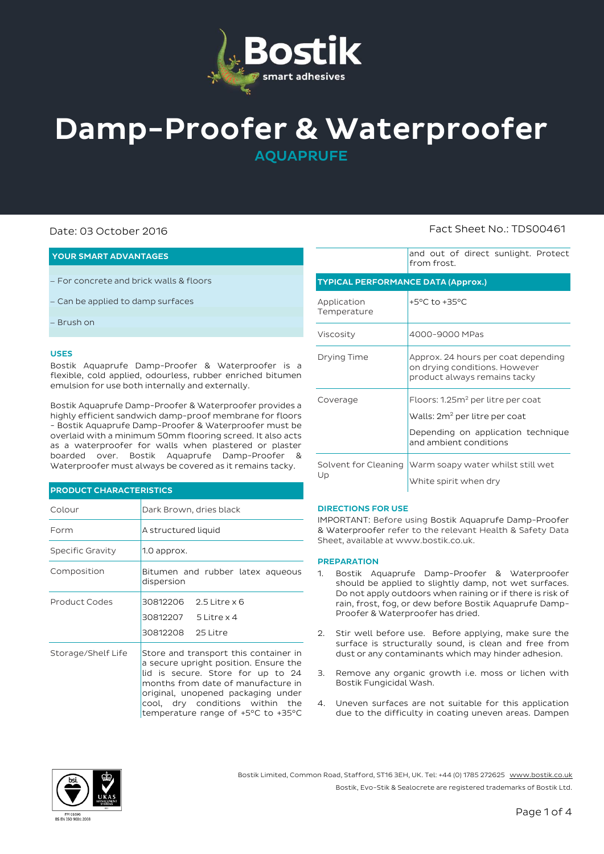

# Damp-Proofer & Waterproofer

AQUAPRUFE

# Date: 03 October 2016 Fact Sheet No.: TDS00461

#### YOUR SMART ADVANTAGES

- For concrete and brick walls & floors
- Can be applied to damp surfaces
- Brush on

#### USES

Bostik Aquaprufe Damp-Proofer & Waterproofer is a flexible, cold applied, odourless, rubber enriched bitumen emulsion for use both internally and externally.

Bostik Aquaprufe Damp-Proofer & Waterproofer provides a highly efficient sandwich damp-proof membrane for floors - Bostik Aquaprufe Damp-Proofer & Waterproofer must be overlaid with a minimum 50mm flooring screed. It also acts as a waterproofer for walls when plastered or plaster boarded over. Bostik Aquaprufe Damp-Proofer & Waterproofer must always be covered as it remains tacky.

#### PRODUCT CHARACTERISTICS

| Colour             | Dark Brown, dries black                                                                                                                                                                                                                                                  |  |  |  |
|--------------------|--------------------------------------------------------------------------------------------------------------------------------------------------------------------------------------------------------------------------------------------------------------------------|--|--|--|
| Form               | A structured liquid                                                                                                                                                                                                                                                      |  |  |  |
| Specific Gravity   | 1.0 approx.                                                                                                                                                                                                                                                              |  |  |  |
| Composition        | Bitumen and rubber latex aqueous<br>dispersion                                                                                                                                                                                                                           |  |  |  |
| Product Codes      | 30812206<br>2.5 Litre $\times$ 6<br>30812207 5 Litre x 4<br>30812208 25 Litre                                                                                                                                                                                            |  |  |  |
| Storage/Shelf Life | Store and transport this container in<br>a secure upright position. Ensure the<br>lid is secure. Store for up to 24<br>months from date of manufacture in<br>original, unopened packaging under<br>cool, dry conditions within the<br>temperature range of +5°C to +35°C |  |  |  |

|                                           | and Out of ancet sanguare, riotect<br>from frost.                                                                                                          |  |  |  |  |
|-------------------------------------------|------------------------------------------------------------------------------------------------------------------------------------------------------------|--|--|--|--|
| <b>TYPICAL PERFORMANCE DATA (Approx.)</b> |                                                                                                                                                            |  |  |  |  |
| Application<br>Temperature                | +5°C to +35°C                                                                                                                                              |  |  |  |  |
| Viscosity                                 | 4000-9000 MPas                                                                                                                                             |  |  |  |  |
| Drying Time                               | Approx, 24 hours per coat depending<br>on drying conditions. However<br>product always remains tacky                                                       |  |  |  |  |
| Coverage                                  | Floors: 1.25m <sup>2</sup> per litre per coat<br>Walls: 2m <sup>2</sup> per litre per coat<br>Depending on application technique<br>and ambient conditions |  |  |  |  |

and out of direct sunlight. Protect

| Up | Solvent for Cleaning Warm soapy water whilst still wet |
|----|--------------------------------------------------------|
|    | White spirit when dry                                  |

#### DIRECTIONS FOR USE

IMPORTANT: Before using Bostik Aquaprufe Damp-Proofer & Waterproofer refer to the relevant Health & Safety Data Sheet, available a[t www.bostik.co.uk.](http://www.bostik.co.uk/)

#### **PREPARATION**

- 1. Bostik Aquaprufe Damp-Proofer & Waterproofer should be applied to slightly damp, not wet surfaces. Do not apply outdoors when raining or if there is risk of rain, frost, fog, or dew before Bostik Aquaprufe Damp-Proofer & Waterproofer has dried.
- 2. Stir well before use. Before applying, make sure the surface is structurally sound, is clean and free from dust or any contaminants which may hinder adhesion.
- 3. Remove any organic growth i.e. moss or lichen with Bostik Fungicidal Wash.
- 4. Uneven surfaces are not suitable for this application due to the difficulty in coating uneven areas. Dampen



Bostik Limited, Common Road, Stafford, ST16 3EH, UK. Tel: +44 (0) 1785 272625 [www.bostik.co.uk](http://www.bostik.co.uk/) Bostik, Evo-Stik & Sealocrete are registered trademarks of Bostik Ltd.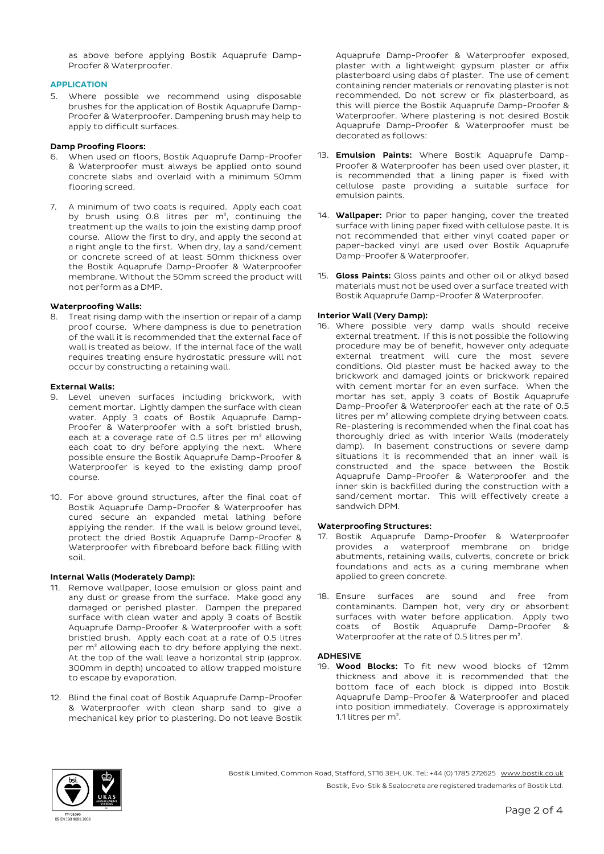as above before applying Bostik Aquaprufe Damp-Proofer & Waterproofer.

## APPLICATION

5. Where possible we recommend using disposable brushes for the application of Bostik Aquaprufe Damp-Proofer & Waterproofer. Dampening brush may help to apply to difficult surfaces.

#### Damp Proofing Floors:

- When used on floors, Bostik Aquaprufe Damp-Proofer & Waterproofer must always be applied onto sound concrete slabs and overlaid with a minimum 50mm flooring screed.
- 7. A minimum of two coats is required. Apply each coat by brush using 0.8 litres per m², continuing the treatment up the walls to join the existing damp proof course. Allow the first to dry, and apply the second at a right angle to the first. When dry, lay a sand/cement or concrete screed of at least 50mm thickness over the Bostik Aquaprufe Damp-Proofer & Waterproofer membrane. Without the 50mm screed the product will not perform as a DMP.

## Waterproofing Walls:

8. Treat rising damp with the insertion or repair of a damp proof course. Where dampness is due to penetration of the wall it is recommended that the external face of wall is treated as below. If the internal face of the wall requires treating ensure hydrostatic pressure will not occur by constructing a retaining wall.

#### External Walls:

- 9. Level uneven surfaces including brickwork, with cement mortar. Lightly dampen the surface with clean water. Apply 3 coats of Bostik Aquaprufe Damp-Proofer & Waterproofer with a soft bristled brush, each at a coverage rate of 0.5 litres per m² allowing each coat to dry before applying the next. Where possible ensure the Bostik Aquaprufe Damp-Proofer & Waterproofer is keyed to the existing damp proof course.
- 10. For above ground structures, after the final coat of Bostik Aquaprufe Damp-Proofer & Waterproofer has cured secure an expanded metal lathing before applying the render. If the wall is below ground level, protect the dried Bostik Aquaprufe Damp-Proofer & Waterproofer with fibreboard before back filling with soil.

#### Internal Walls (Moderately Damp):

- 11. Remove wallpaper, loose emulsion or gloss paint and any dust or grease from the surface. Make good any damaged or perished plaster. Dampen the prepared surface with clean water and apply 3 coats of Bostik Aquaprufe Damp-Proofer & Waterproofer with a soft bristled brush. Apply each coat at a rate of 0.5 litres per m<sup>2</sup> allowing each to dry before applying the next. At the top of the wall leave a horizontal strip (approx. 300mm in depth) uncoated to allow trapped moisture to escape by evaporation.
- 12. Blind the final coat of Bostik Aquaprufe Damp-Proofer & Waterproofer with clean sharp sand to give a mechanical key prior to plastering. Do not leave Bostik

Aquaprufe Damp-Proofer & Waterproofer exposed, plaster with a lightweight gypsum plaster or affix plasterboard using dabs of plaster. The use of cement containing render materials or renovating plaster is not recommended. Do not screw or fix plasterboard, as this will pierce the Bostik Aquaprufe Damp-Proofer & Waterproofer. Where plastering is not desired Bostik Aquaprufe Damp-Proofer & Waterproofer must be decorated as follows:

- 13. **Emulsion Paints:** Where Bostik Aquaprufe Damp-Proofer & Waterproofer has been used over plaster, it is recommended that a lining paper is fixed with cellulose paste providing a suitable surface for emulsion paints.
- 14. Wallpaper: Prior to paper hanging, cover the treated surface with lining paper fixed with cellulose paste. It is not recommended that either vinyl coated paper or paper-backed vinyl are used over Bostik Aquaprufe Damp-Proofer & Waterproofer.
- 15. Gloss Paints: Gloss paints and other oil or alkyd based materials must not be used over a surface treated with Bostik Aquaprufe Damp-Proofer & Waterproofer.

# Interior Wall (Very Damp):

16. Where possible very damp walls should receive external treatment. If this is not possible the following procedure may be of benefit, however only adequate external treatment will cure the most severe conditions. Old plaster must be hacked away to the brickwork and damaged joints or brickwork repaired with cement mortar for an even surface. When the mortar has set, apply 3 coats of Bostik Aquaprufe Damp-Proofer & Waterproofer each at the rate of 0.5 litres per m² allowing complete drying between coats. Re-plastering is recommended when the final coat has thoroughly dried as with Interior Walls (moderately damp). In basement constructions or severe damp situations it is recommended that an inner wall is constructed and the space between the Bostik Aquaprufe Damp-Proofer & Waterproofer and the inner skin is backfilled during the construction with a sand/cement mortar. This will effectively create a sandwich DPM.

# Waterproofing Structures:

- 17. Bostik Aquaprufe Damp-Proofer & Waterproofer provides a waterproof membrane on bridge abutments, retaining walls, culverts, concrete or brick foundations and acts as a curing membrane when applied to green concrete.
- 18. Ensure surfaces are sound and free from contaminants. Dampen hot, very dry or absorbent surfaces with water before application. Apply two coats of Bostik Aquaprufe Damp-Proofer & Waterproofer at the rate of 0.5 litres per m².

#### ADHESIVE

19. Wood Blocks: To fit new wood blocks of 12mm thickness and above it is recommended that the bottom face of each block is dipped into Bostik Aquaprufe Damp-Proofer & Waterproofer and placed into position immediately. Coverage is approximately 1.1 litres per m².



Bostik Limited, Common Road, Stafford, ST16 3EH, UK. Tel: +44 (0) 1785 272625 [www.bostik.co.uk](http://www.bostik.co.uk/) Bostik, Evo-Stik & Sealocrete are registered trademarks of Bostik Ltd.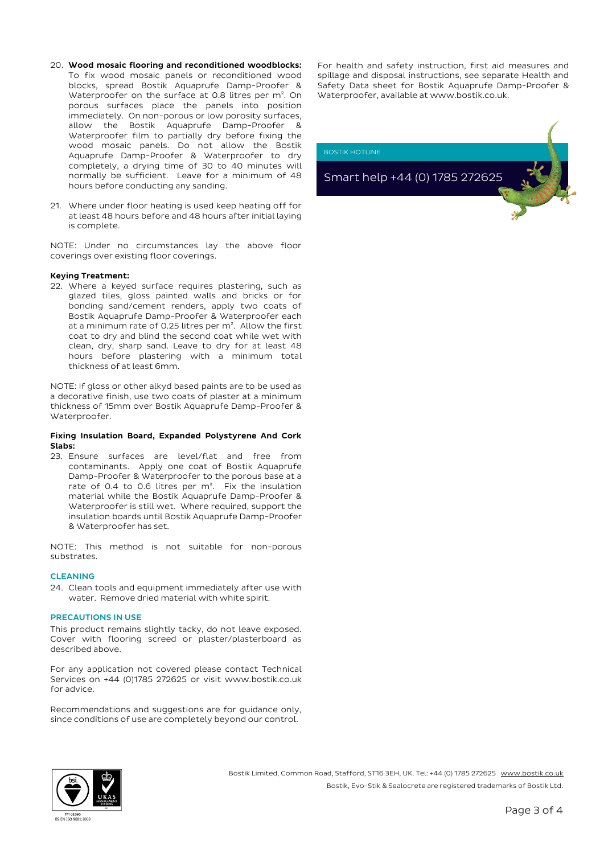- 20. Wood mosaic flooring and reconditioned woodblocks: To fix wood mosaic panels or reconditioned wood blocks, spread Bostik Aquaprufe Damp-Proofer & Waterproofer on the surface at 0.8 litres per m<sup>2</sup>. On porous surfaces place the panels into position immediately. On non-porous or low porosity surfaces, allow the Bostik Aquaprufe Damp-Proofer & Waterproofer film to partially dry before fixing the wood mosaic panels. Do not allow the Bostik Aquaprufe Damp-Proofer & Waterproofer to dry completely, a drying time of 30 to 40 minutes will normally be sufficient. Leave for a minimum of 48 hours before conducting any sanding.
- 21. Where under floor heating is used keep heating off for at least 48 hours before and 48 hours after initial laying is complete.

NOTE: Under no circumstances lay the above floor coverings over existing floor coverings.

#### Keying Treatment:

22. Where a keyed surface requires plastering, such as glazed tiles, gloss painted walls and bricks or for bonding sand/cement renders, apply two coats of Bostik Aquaprufe Damp-Proofer & Waterproofer each at a minimum rate of 0.25 litres per m². Allow the first coat to dry and blind the second coat while wet with clean, dry, sharp sand. Leave to dry for at least 48 hours before plastering with a minimum total thickness of at least 6mm.

NOTE: If gloss or other alkyd based paints are to be used as a decorative finish, use two coats of plaster at a minimum thickness of 15mm over Bostik Aquaprufe Damp-Proofer & Waterproofer.

#### Fixing Insulation Board, Expanded Polystyrene And Cork Slabs:

23. Ensure surfaces are level/flat and free from contaminants. Apply one coat of Bostik Aquaprufe Damp-Proofer & Waterproofer to the porous base at a rate of 0.4 to 0.6 litres per  $m^2$ . Fix the insulation material while the Bostik Aquaprufe Damp-Proofer & Waterproofer is still wet. Where required, support the insulation boards until Bostik Aquaprufe Damp-Proofer & Waterproofer has set.

NOTE: This method is not suitable for non-porous substrates.

#### **CLEANING**

24. Clean tools and equipment immediately after use with water. Remove dried material with white spirit.

#### PRECAUTIONS IN USE

This product remains slightly tacky, do not leave exposed. Cover with flooring screed or plaster/plasterboard as described above.

For any application not covered please contact Technical Services on +44 (0)1785 272625 or visit www.bostik.co.uk for advice.

Recommendations and suggestions are for guidance only, since conditions of use are completely beyond our control.

For health and safety instruction, first aid measures and spillage and disposal instructions, see separate Health and Safety Data sheet for Bostik Aquaprufe Damp-Proofer & Waterproofer, available at www.bostik.co.uk.

BOSTIK HOTLINE

Smart help +44 (0) 1785 272625